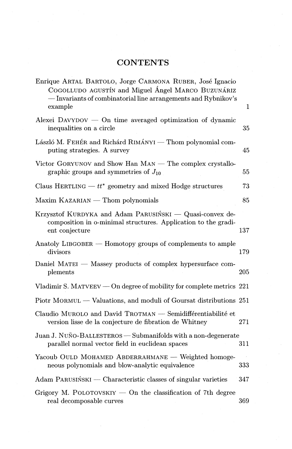## **CONTENTS**

| Enrique ARTAL BARTOLO, Jorge CARMONA RUBER, José Ignacio<br>COGOLLUDO AGUSTÍN and Miguel Ángel MARCO BUZUNÁRIZ<br>- Invariants of combinatorial line arrangements and Rybnikov's |              |
|----------------------------------------------------------------------------------------------------------------------------------------------------------------------------------|--------------|
| example                                                                                                                                                                          | $\mathbf{1}$ |
| Alexei DAVYDOV $-$ On time averaged optimization of dynamic<br>inequalities on a circle                                                                                          | 35           |
| László M. FEHÉR and Richárd RIMÁNYI — Thom polynomial com-<br>puting strategies. A survey                                                                                        | 45           |
| Victor GORYUNOV and Show Han MAN — The complex crystallo-<br>graphic groups and symmetries of $J_{10}$                                                                           | 55           |
| Claus HERTLING — $tt^*$ geometry and mixed Hodge structures                                                                                                                      | 73           |
| Maxim KAZARIAN — Thom polynomials                                                                                                                                                | 85           |
| Krzysztof KURDYKA and Adam PARUSIŃSKI — Quasi-convex de-<br>composition in o-minimal structures. Application to the gradi-                                                       |              |
| ent conjecture                                                                                                                                                                   | 137          |
| Anatoly LIBGOBER – Homotopy groups of complements to ample<br>divisors                                                                                                           | 179          |
| Daniel MATEI – Massey products of complex hypersurface com-<br>plements                                                                                                          | 205          |
| Vladimir S. MATVEEV — On degree of mobility for complete metrics $221$                                                                                                           |              |
| Piotr MORMUL — Valuations, and moduli of Goursat distributions 251                                                                                                               |              |
| Claudio MUROLO and David TROTMAN - Semidifférentiabilité et<br>version lisse de la conjecture de fibration de Whitney                                                            | 271          |
| Juan J. NUÑO-BALLESTEROS — Submanifolds with a non-degenerate<br>parallel normal vector field in euclidean spaces                                                                | 311          |
| Yacoub OULD MOHAMED ABDERRAHMANE - Weighted homoge-<br>neous polynomials and blow-analytic equivalence                                                                           | 333          |
| Adam PARUSIŃSKI — Characteristic classes of singular varieties                                                                                                                   | 347          |
| Grigory M. POLOTOVSKIY $-$ On the classification of 7th degree<br>real decomposable curves                                                                                       | 369          |